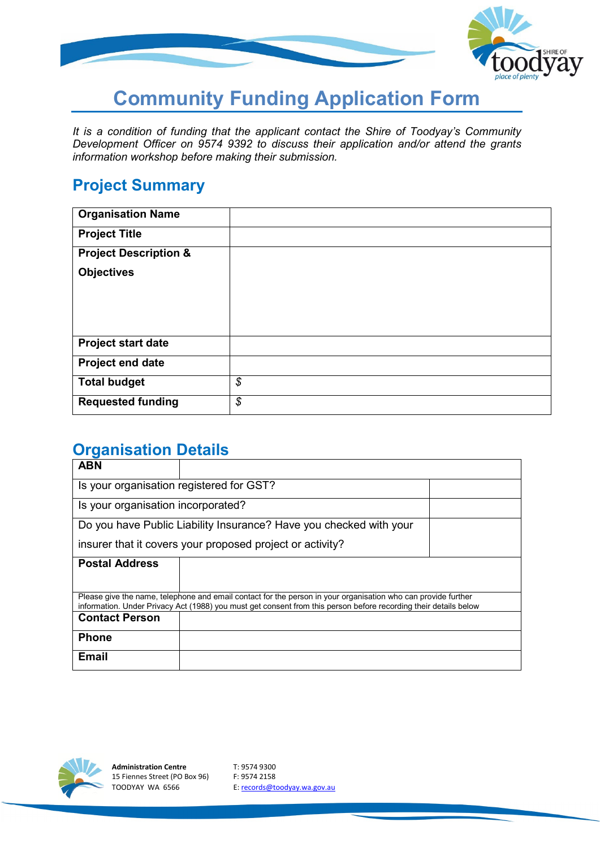

# **Community Funding Application Form**

*It is a condition of funding that the applicant contact the Shire of Toodyay's Community Development Officer on 9574 9392 to discuss their application and/or attend the grants information workshop before making their submission.*

## **Project Summary**

| <b>Organisation Name</b>         |    |
|----------------------------------|----|
| <b>Project Title</b>             |    |
| <b>Project Description &amp;</b> |    |
| <b>Objectives</b>                |    |
|                                  |    |
|                                  |    |
|                                  |    |
| <b>Project start date</b>        |    |
| Project end date                 |    |
| <b>Total budget</b>              | \$ |
| <b>Requested funding</b>         | \$ |

## **Organisation Details**

| <b>ABN</b>                                                                                                                                                                                                                        |  |  |  |  |
|-----------------------------------------------------------------------------------------------------------------------------------------------------------------------------------------------------------------------------------|--|--|--|--|
| Is your organisation registered for GST?                                                                                                                                                                                          |  |  |  |  |
| Is your organisation incorporated?                                                                                                                                                                                                |  |  |  |  |
| Do you have Public Liability Insurance? Have you checked with your                                                                                                                                                                |  |  |  |  |
| insurer that it covers your proposed project or activity?                                                                                                                                                                         |  |  |  |  |
| <b>Postal Address</b>                                                                                                                                                                                                             |  |  |  |  |
| Please give the name, telephone and email contact for the person in your organisation who can provide further<br>information. Under Privacy Act (1988) you must get consent from this person before recording their details below |  |  |  |  |
| <b>Contact Person</b>                                                                                                                                                                                                             |  |  |  |  |
| <b>Phone</b>                                                                                                                                                                                                                      |  |  |  |  |
| <b>Email</b>                                                                                                                                                                                                                      |  |  |  |  |

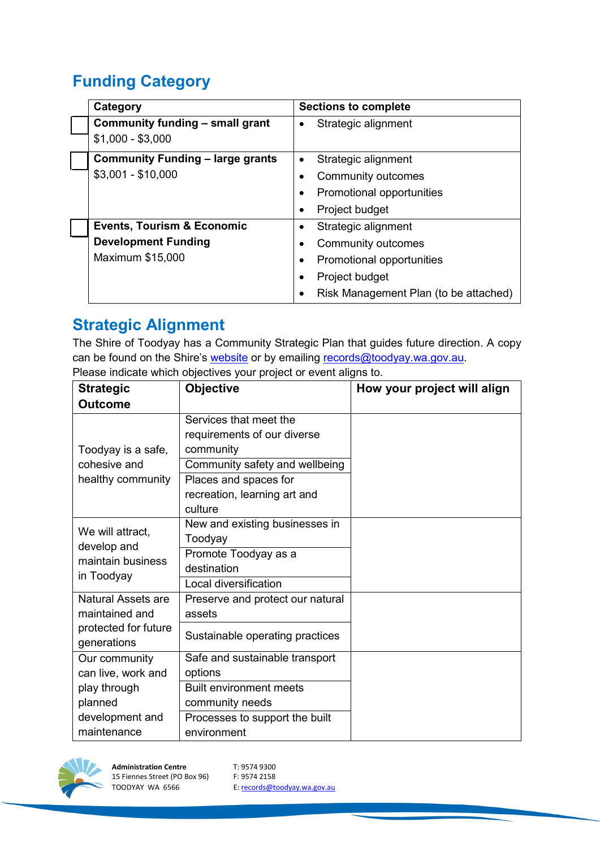# **Funding Category**

| Category                                | <b>Sections to complete</b>           |
|-----------------------------------------|---------------------------------------|
| Community funding - small grant         | Strategic alignment<br>$\bullet$      |
| $$1,000 - $3,000$                       |                                       |
| <b>Community Funding - large grants</b> | Strategic alignment<br>٠              |
| $$3,001 - $10,000$                      | Community outcomes                    |
|                                         | Promotional opportunities             |
|                                         | Project budget                        |
| <b>Events, Tourism &amp; Economic</b>   | Strategic alignment<br>$\bullet$      |
| <b>Development Funding</b>              | Community outcomes                    |
| Maximum \$15,000                        | Promotional opportunities<br>٠        |
|                                         | Project budget<br>$\bullet$           |
|                                         | Risk Management Plan (to be attached) |

## **Strategic Alignment**

The Shire of Toodyay has a Community Strategic Plan that guides future direction. A copy can be found on the Shire's [website](https://www.toodyay.wa.gov.au/documents/8/sot-strategic-community-plan-toodyay-2028-final-version) or by emailing [records@toodyay.wa.gov.au.](mailto:records@toodyay.wa.gov.au) Please indicate which objectives your project or event aligns to.

| <b>Strategic</b>     | <b>Objective</b>                 | How your project will align |
|----------------------|----------------------------------|-----------------------------|
| <b>Outcome</b>       |                                  |                             |
|                      | Services that meet the           |                             |
|                      | requirements of our diverse      |                             |
| Toodyay is a safe,   | community                        |                             |
| cohesive and         | Community safety and wellbeing   |                             |
| healthy community    | Places and spaces for            |                             |
|                      | recreation, learning art and     |                             |
|                      | culture                          |                             |
| We will attract,     | New and existing businesses in   |                             |
| develop and          | Toodyay                          |                             |
| maintain business    | Promote Toodyay as a             |                             |
| in Toodyay           | destination                      |                             |
|                      | Local diversification            |                             |
| Natural Assets are   | Preserve and protect our natural |                             |
| maintained and       | assets                           |                             |
| protected for future | Sustainable operating practices  |                             |
| generations          |                                  |                             |
| Our community        | Safe and sustainable transport   |                             |
| can live, work and   | options                          |                             |
| play through         | <b>Built environment meets</b>   |                             |
| planned              | community needs                  |                             |
| development and      | Processes to support the built   |                             |
| maintenance          | environment                      |                             |

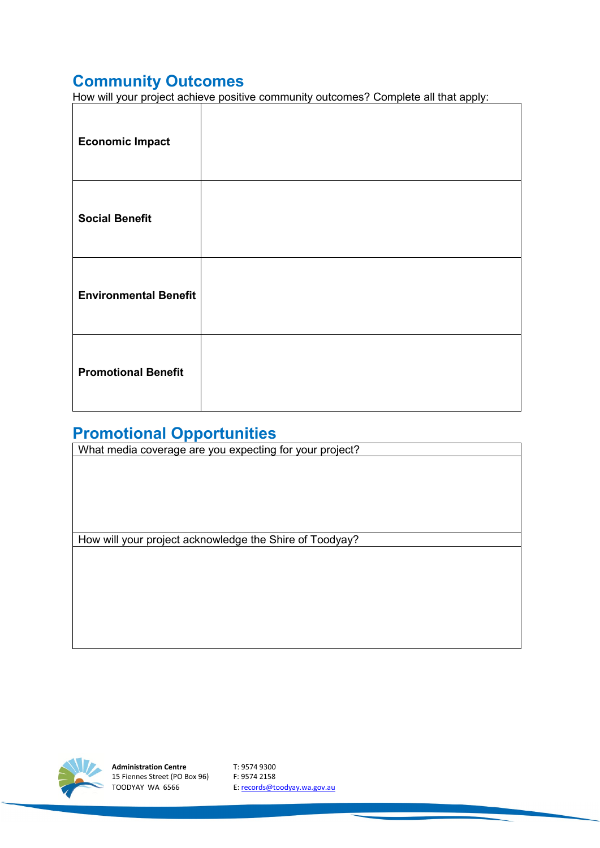# **Community Outcomes**

How will your project achieve positive community outcomes? Complete all that apply:

| <b>Economic Impact</b>       |  |
|------------------------------|--|
| <b>Social Benefit</b>        |  |
| <b>Environmental Benefit</b> |  |
| <b>Promotional Benefit</b>   |  |

# **Promotional Opportunities**

| What media coverage are you expecting for your project? |  |  |  |  |
|---------------------------------------------------------|--|--|--|--|
|                                                         |  |  |  |  |
|                                                         |  |  |  |  |
|                                                         |  |  |  |  |
|                                                         |  |  |  |  |
|                                                         |  |  |  |  |
|                                                         |  |  |  |  |
| How will your project acknowledge the Shire of Toodyay? |  |  |  |  |
|                                                         |  |  |  |  |
|                                                         |  |  |  |  |
|                                                         |  |  |  |  |
|                                                         |  |  |  |  |
|                                                         |  |  |  |  |
|                                                         |  |  |  |  |



**Administration Centre** T: 9574 9300 15 Fiennes Street (PO Box 96) F: 9574 2158<br>TOODYAY WA 6566 E: records@to

E[: records@toodyay.wa.gov.au](mailto:records@toodyay.wa.gov.au)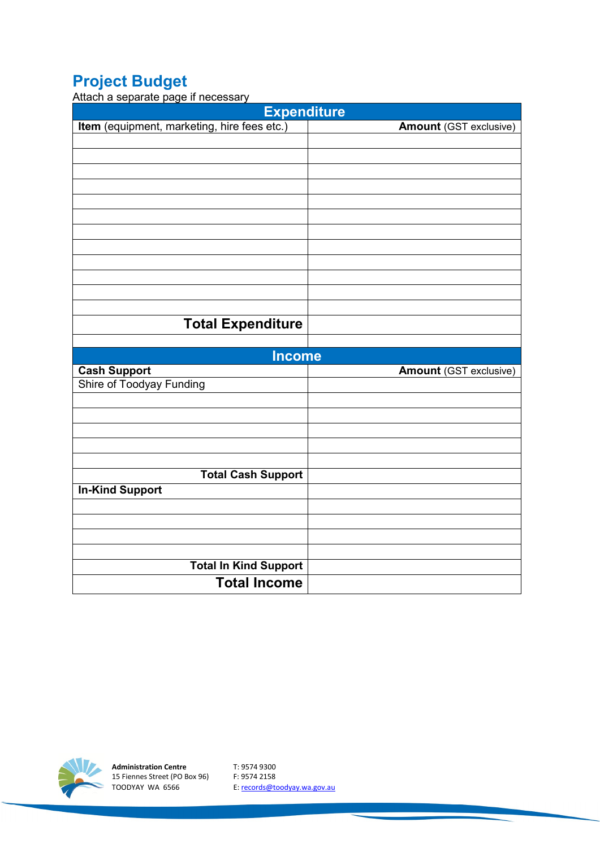# **Project Budget**

Attach a separate page if necessary

| בים ביים<br>- - - - - - - -<br><b>Expenditure</b> |  |  |  |  |  |
|---------------------------------------------------|--|--|--|--|--|
| <b>Amount</b> (GST exclusive)                     |  |  |  |  |  |
|                                                   |  |  |  |  |  |
|                                                   |  |  |  |  |  |
|                                                   |  |  |  |  |  |
|                                                   |  |  |  |  |  |
|                                                   |  |  |  |  |  |
|                                                   |  |  |  |  |  |
|                                                   |  |  |  |  |  |
|                                                   |  |  |  |  |  |
|                                                   |  |  |  |  |  |
|                                                   |  |  |  |  |  |
|                                                   |  |  |  |  |  |
|                                                   |  |  |  |  |  |
|                                                   |  |  |  |  |  |
|                                                   |  |  |  |  |  |
|                                                   |  |  |  |  |  |
| <b>Income</b>                                     |  |  |  |  |  |
| <b>Amount</b> (GST exclusive)                     |  |  |  |  |  |
|                                                   |  |  |  |  |  |
|                                                   |  |  |  |  |  |
|                                                   |  |  |  |  |  |
|                                                   |  |  |  |  |  |
|                                                   |  |  |  |  |  |
|                                                   |  |  |  |  |  |
|                                                   |  |  |  |  |  |
|                                                   |  |  |  |  |  |
|                                                   |  |  |  |  |  |
|                                                   |  |  |  |  |  |
|                                                   |  |  |  |  |  |
|                                                   |  |  |  |  |  |
|                                                   |  |  |  |  |  |



**Administration Centre** T: 9574 9300 15 Fiennes Street (PO Box 96) F: 9574 2158

TOODYAY WA 6566 E[: records@toodyay.wa.gov.au](mailto:records@toodyay.wa.gov.au)